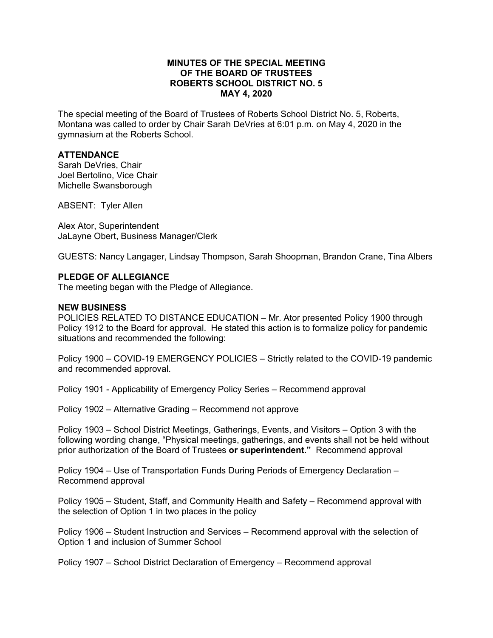## **MINUTES OF THE SPECIAL MEETING OF THE BOARD OF TRUSTEES ROBERTS SCHOOL DISTRICT NO. 5 MAY 4, 2020**

The special meeting of the Board of Trustees of Roberts School District No. 5, Roberts, Montana was called to order by Chair Sarah DeVries at 6:01 p.m. on May 4, 2020 in the gymnasium at the Roberts School.

## **ATTENDANCE**

Sarah DeVries, Chair Joel Bertolino, Vice Chair Michelle Swansborough

ABSENT: Tyler Allen

Alex Ator, Superintendent JaLayne Obert, Business Manager/Clerk

GUESTS: Nancy Langager, Lindsay Thompson, Sarah Shoopman, Brandon Crane, Tina Albers

#### **PLEDGE OF ALLEGIANCE**

The meeting began with the Pledge of Allegiance.

#### **NEW BUSINESS**

POLICIES RELATED TO DISTANCE EDUCATION – Mr. Ator presented Policy 1900 through Policy 1912 to the Board for approval. He stated this action is to formalize policy for pandemic situations and recommended the following:

Policy 1900 – COVID-19 EMERGENCY POLICIES – Strictly related to the COVID-19 pandemic and recommended approval.

Policy 1901 - Applicability of Emergency Policy Series – Recommend approval

Policy 1902 – Alternative Grading – Recommend not approve

Policy 1903 – School District Meetings, Gatherings, Events, and Visitors – Option 3 with the following wording change, "Physical meetings, gatherings, and events shall not be held without prior authorization of the Board of Trustees **or superintendent."** Recommend approval

Policy 1904 – Use of Transportation Funds During Periods of Emergency Declaration – Recommend approval

Policy 1905 – Student, Staff, and Community Health and Safety – Recommend approval with the selection of Option 1 in two places in the policy

Policy 1906 – Student Instruction and Services – Recommend approval with the selection of Option 1 and inclusion of Summer School

Policy 1907 – School District Declaration of Emergency – Recommend approval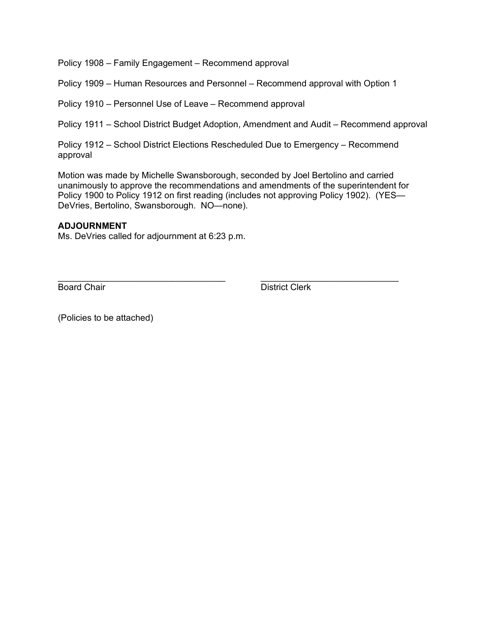Policy 1908 – Family Engagement – Recommend approval

Policy 1909 – Human Resources and Personnel – Recommend approval with Option 1

Policy 1910 – Personnel Use of Leave – Recommend approval

Policy 1911 – School District Budget Adoption, Amendment and Audit – Recommend approval

Policy 1912 – School District Elections Rescheduled Due to Emergency – Recommend approval

Motion was made by Michelle Swansborough, seconded by Joel Bertolino and carried unanimously to approve the recommendations and amendments of the superintendent for Policy 1900 to Policy 1912 on first reading (includes not approving Policy 1902). (YES— DeVries, Bertolino, Swansborough. NO—none).

## **ADJOURNMENT**

Ms. DeVries called for adjournment at 6:23 p.m.

\_\_\_\_\_\_\_\_\_\_\_\_\_\_\_\_\_\_\_\_\_\_\_\_\_\_\_\_\_\_\_\_\_\_ \_\_\_\_\_\_\_\_\_\_\_\_\_\_\_\_\_\_\_\_\_\_\_\_\_\_\_\_ **Board Chair** District Clerk

(Policies to be attached)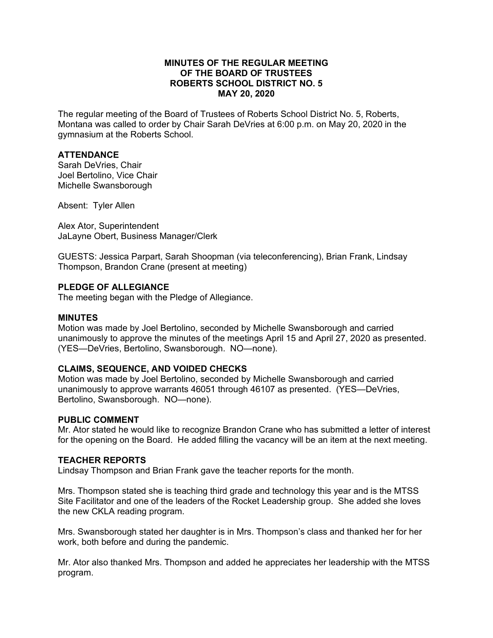## **MINUTES OF THE REGULAR MEETING OF THE BOARD OF TRUSTEES ROBERTS SCHOOL DISTRICT NO. 5 MAY 20, 2020**

The regular meeting of the Board of Trustees of Roberts School District No. 5, Roberts, Montana was called to order by Chair Sarah DeVries at 6:00 p.m. on May 20, 2020 in the gymnasium at the Roberts School.

# **ATTENDANCE**

Sarah DeVries, Chair Joel Bertolino, Vice Chair Michelle Swansborough

Absent: Tyler Allen

Alex Ator, Superintendent JaLayne Obert, Business Manager/Clerk

GUESTS: Jessica Parpart, Sarah Shoopman (via teleconferencing), Brian Frank, Lindsay Thompson, Brandon Crane (present at meeting)

#### **PLEDGE OF ALLEGIANCE**

The meeting began with the Pledge of Allegiance.

#### **MINUTES**

Motion was made by Joel Bertolino, seconded by Michelle Swansborough and carried unanimously to approve the minutes of the meetings April 15 and April 27, 2020 as presented. (YES—DeVries, Bertolino, Swansborough. NO—none).

#### **CLAIMS, SEQUENCE, AND VOIDED CHECKS**

Motion was made by Joel Bertolino, seconded by Michelle Swansborough and carried unanimously to approve warrants 46051 through 46107 as presented. (YES—DeVries, Bertolino, Swansborough. NO—none).

#### **PUBLIC COMMENT**

Mr. Ator stated he would like to recognize Brandon Crane who has submitted a letter of interest for the opening on the Board. He added filling the vacancy will be an item at the next meeting.

#### **TEACHER REPORTS**

Lindsay Thompson and Brian Frank gave the teacher reports for the month.

Mrs. Thompson stated she is teaching third grade and technology this year and is the MTSS Site Facilitator and one of the leaders of the Rocket Leadership group. She added she loves the new CKLA reading program.

Mrs. Swansborough stated her daughter is in Mrs. Thompson's class and thanked her for her work, both before and during the pandemic.

Mr. Ator also thanked Mrs. Thompson and added he appreciates her leadership with the MTSS program.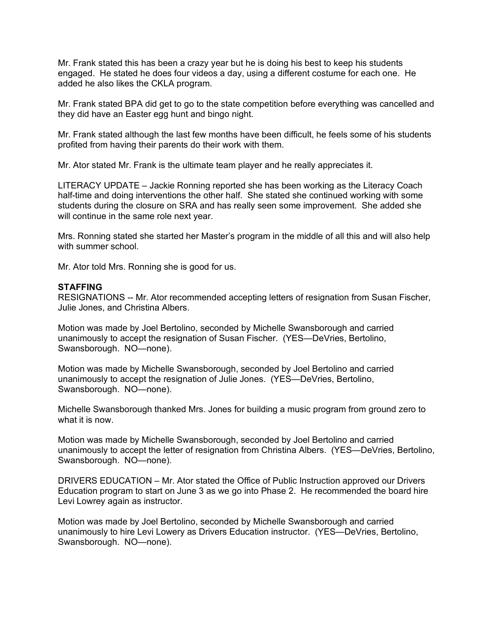Mr. Frank stated this has been a crazy year but he is doing his best to keep his students engaged. He stated he does four videos a day, using a different costume for each one. He added he also likes the CKLA program.

Mr. Frank stated BPA did get to go to the state competition before everything was cancelled and they did have an Easter egg hunt and bingo night.

Mr. Frank stated although the last few months have been difficult, he feels some of his students profited from having their parents do their work with them.

Mr. Ator stated Mr. Frank is the ultimate team player and he really appreciates it.

LITERACY UPDATE – Jackie Ronning reported she has been working as the Literacy Coach half-time and doing interventions the other half. She stated she continued working with some students during the closure on SRA and has really seen some improvement. She added she will continue in the same role next year.

Mrs. Ronning stated she started her Master's program in the middle of all this and will also help with summer school.

Mr. Ator told Mrs. Ronning she is good for us.

#### **STAFFING**

RESIGNATIONS -- Mr. Ator recommended accepting letters of resignation from Susan Fischer, Julie Jones, and Christina Albers.

Motion was made by Joel Bertolino, seconded by Michelle Swansborough and carried unanimously to accept the resignation of Susan Fischer. (YES—DeVries, Bertolino, Swansborough. NO—none).

Motion was made by Michelle Swansborough, seconded by Joel Bertolino and carried unanimously to accept the resignation of Julie Jones. (YES—DeVries, Bertolino, Swansborough. NO—none).

Michelle Swansborough thanked Mrs. Jones for building a music program from ground zero to what it is now.

Motion was made by Michelle Swansborough, seconded by Joel Bertolino and carried unanimously to accept the letter of resignation from Christina Albers. (YES—DeVries, Bertolino, Swansborough. NO—none).

DRIVERS EDUCATION – Mr. Ator stated the Office of Public Instruction approved our Drivers Education program to start on June 3 as we go into Phase 2. He recommended the board hire Levi Lowrey again as instructor.

Motion was made by Joel Bertolino, seconded by Michelle Swansborough and carried unanimously to hire Levi Lowery as Drivers Education instructor. (YES—DeVries, Bertolino, Swansborough. NO—none).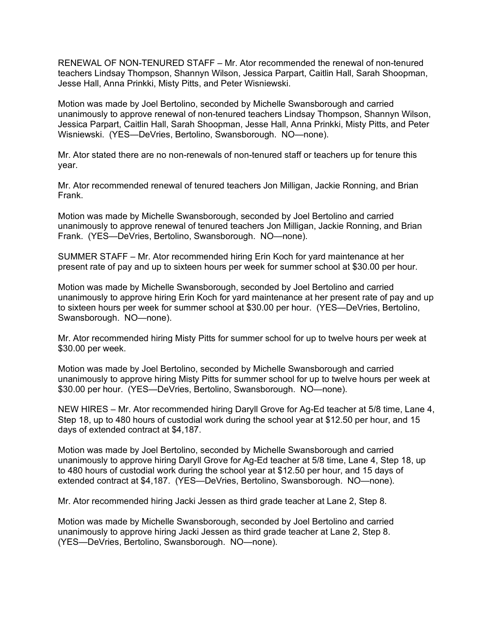RENEWAL OF NON-TENURED STAFF – Mr. Ator recommended the renewal of non-tenured teachers Lindsay Thompson, Shannyn Wilson, Jessica Parpart, Caitlin Hall, Sarah Shoopman, Jesse Hall, Anna Prinkki, Misty Pitts, and Peter Wisniewski.

Motion was made by Joel Bertolino, seconded by Michelle Swansborough and carried unanimously to approve renewal of non-tenured teachers Lindsay Thompson, Shannyn Wilson, Jessica Parpart, Caitlin Hall, Sarah Shoopman, Jesse Hall, Anna Prinkki, Misty Pitts, and Peter Wisniewski. (YES—DeVries, Bertolino, Swansborough. NO—none).

Mr. Ator stated there are no non-renewals of non-tenured staff or teachers up for tenure this year.

Mr. Ator recommended renewal of tenured teachers Jon Milligan, Jackie Ronning, and Brian Frank.

Motion was made by Michelle Swansborough, seconded by Joel Bertolino and carried unanimously to approve renewal of tenured teachers Jon Milligan, Jackie Ronning, and Brian Frank. (YES—DeVries, Bertolino, Swansborough. NO—none).

SUMMER STAFF – Mr. Ator recommended hiring Erin Koch for yard maintenance at her present rate of pay and up to sixteen hours per week for summer school at \$30.00 per hour.

Motion was made by Michelle Swansborough, seconded by Joel Bertolino and carried unanimously to approve hiring Erin Koch for yard maintenance at her present rate of pay and up to sixteen hours per week for summer school at \$30.00 per hour. (YES—DeVries, Bertolino, Swansborough. NO—none).

Mr. Ator recommended hiring Misty Pitts for summer school for up to twelve hours per week at \$30.00 per week.

Motion was made by Joel Bertolino, seconded by Michelle Swansborough and carried unanimously to approve hiring Misty Pitts for summer school for up to twelve hours per week at \$30.00 per hour. (YES—DeVries, Bertolino, Swansborough. NO—none).

NEW HIRES – Mr. Ator recommended hiring Daryll Grove for Ag-Ed teacher at 5/8 time, Lane 4, Step 18, up to 480 hours of custodial work during the school year at \$12.50 per hour, and 15 days of extended contract at \$4,187.

Motion was made by Joel Bertolino, seconded by Michelle Swansborough and carried unanimously to approve hiring Daryll Grove for Ag-Ed teacher at 5/8 time, Lane 4, Step 18, up to 480 hours of custodial work during the school year at \$12.50 per hour, and 15 days of extended contract at \$4,187. (YES—DeVries, Bertolino, Swansborough. NO—none).

Mr. Ator recommended hiring Jacki Jessen as third grade teacher at Lane 2, Step 8.

Motion was made by Michelle Swansborough, seconded by Joel Bertolino and carried unanimously to approve hiring Jacki Jessen as third grade teacher at Lane 2, Step 8. (YES—DeVries, Bertolino, Swansborough. NO—none).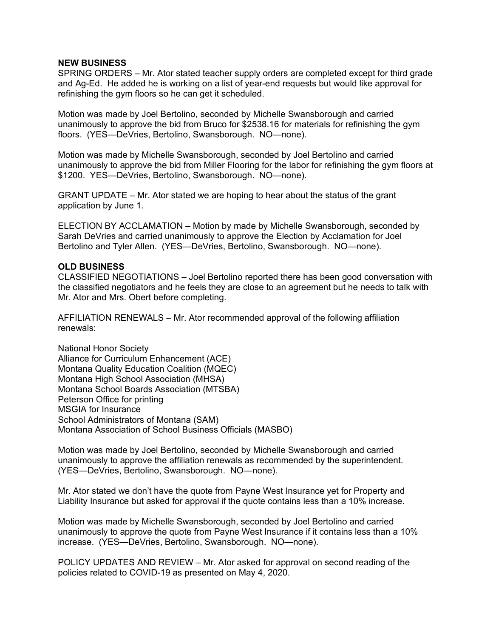#### **NEW BUSINESS**

SPRING ORDERS – Mr. Ator stated teacher supply orders are completed except for third grade and Ag-Ed. He added he is working on a list of year-end requests but would like approval for refinishing the gym floors so he can get it scheduled.

Motion was made by Joel Bertolino, seconded by Michelle Swansborough and carried unanimously to approve the bid from Bruco for \$2538.16 for materials for refinishing the gym floors. (YES—DeVries, Bertolino, Swansborough. NO—none).

Motion was made by Michelle Swansborough, seconded by Joel Bertolino and carried unanimously to approve the bid from Miller Flooring for the labor for refinishing the gym floors at \$1200. YES—DeVries, Bertolino, Swansborough. NO—none).

GRANT UPDATE – Mr. Ator stated we are hoping to hear about the status of the grant application by June 1.

ELECTION BY ACCLAMATION – Motion by made by Michelle Swansborough, seconded by Sarah DeVries and carried unanimously to approve the Election by Acclamation for Joel Bertolino and Tyler Allen. (YES—DeVries, Bertolino, Swansborough. NO—none).

## **OLD BUSINESS**

CLASSIFIED NEGOTIATIONS – Joel Bertolino reported there has been good conversation with the classified negotiators and he feels they are close to an agreement but he needs to talk with Mr. Ator and Mrs. Obert before completing.

AFFILIATION RENEWALS – Mr. Ator recommended approval of the following affiliation renewals:

National Honor Society Alliance for Curriculum Enhancement (ACE) Montana Quality Education Coalition (MQEC) Montana High School Association (MHSA) Montana School Boards Association (MTSBA) Peterson Office for printing MSGIA for Insurance School Administrators of Montana (SAM) Montana Association of School Business Officials (MASBO)

Motion was made by Joel Bertolino, seconded by Michelle Swansborough and carried unanimously to approve the affiliation renewals as recommended by the superintendent. (YES—DeVries, Bertolino, Swansborough. NO—none).

Mr. Ator stated we don't have the quote from Payne West Insurance yet for Property and Liability Insurance but asked for approval if the quote contains less than a 10% increase.

Motion was made by Michelle Swansborough, seconded by Joel Bertolino and carried unanimously to approve the quote from Payne West Insurance if it contains less than a 10% increase. (YES—DeVries, Bertolino, Swansborough. NO—none).

POLICY UPDATES AND REVIEW – Mr. Ator asked for approval on second reading of the policies related to COVID-19 as presented on May 4, 2020.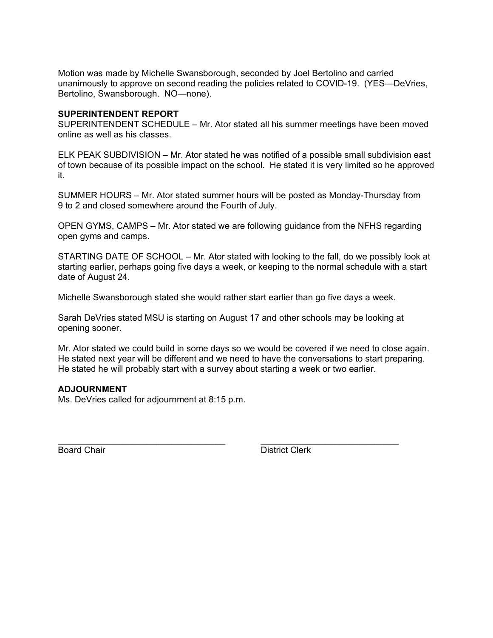Motion was made by Michelle Swansborough, seconded by Joel Bertolino and carried unanimously to approve on second reading the policies related to COVID-19. (YES—DeVries, Bertolino, Swansborough. NO—none).

## **SUPERINTENDENT REPORT**

SUPERINTENDENT SCHEDULE – Mr. Ator stated all his summer meetings have been moved online as well as his classes.

ELK PEAK SUBDIVISION – Mr. Ator stated he was notified of a possible small subdivision east of town because of its possible impact on the school. He stated it is very limited so he approved it.

SUMMER HOURS – Mr. Ator stated summer hours will be posted as Monday-Thursday from 9 to 2 and closed somewhere around the Fourth of July.

OPEN GYMS, CAMPS – Mr. Ator stated we are following guidance from the NFHS regarding open gyms and camps.

STARTING DATE OF SCHOOL – Mr. Ator stated with looking to the fall, do we possibly look at starting earlier, perhaps going five days a week, or keeping to the normal schedule with a start date of August 24.

Michelle Swansborough stated she would rather start earlier than go five days a week.

Sarah DeVries stated MSU is starting on August 17 and other schools may be looking at opening sooner.

Mr. Ator stated we could build in some days so we would be covered if we need to close again. He stated next year will be different and we need to have the conversations to start preparing. He stated he will probably start with a survey about starting a week or two earlier.

#### **ADJOURNMENT**

Ms. DeVries called for adjournment at 8:15 p.m.

\_\_\_\_\_\_\_\_\_\_\_\_\_\_\_\_\_\_\_\_\_\_\_\_\_\_\_\_\_\_\_\_\_\_ \_\_\_\_\_\_\_\_\_\_\_\_\_\_\_\_\_\_\_\_\_\_\_\_\_\_\_\_ **Board Chair** District Clerk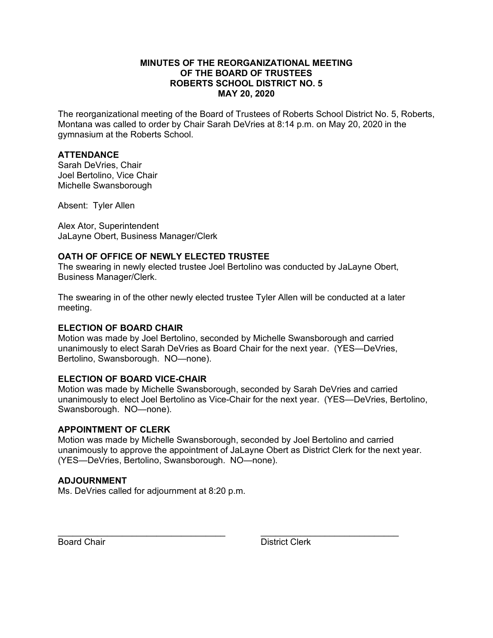## **MINUTES OF THE REORGANIZATIONAL MEETING OF THE BOARD OF TRUSTEES ROBERTS SCHOOL DISTRICT NO. 5 MAY 20, 2020**

The reorganizational meeting of the Board of Trustees of Roberts School District No. 5, Roberts, Montana was called to order by Chair Sarah DeVries at 8:14 p.m. on May 20, 2020 in the gymnasium at the Roberts School.

# **ATTENDANCE**

Sarah DeVries, Chair Joel Bertolino, Vice Chair Michelle Swansborough

Absent: Tyler Allen

Alex Ator, Superintendent JaLayne Obert, Business Manager/Clerk

## **OATH OF OFFICE OF NEWLY ELECTED TRUSTEE**

The swearing in newly elected trustee Joel Bertolino was conducted by JaLayne Obert, Business Manager/Clerk.

The swearing in of the other newly elected trustee Tyler Allen will be conducted at a later meeting.

## **ELECTION OF BOARD CHAIR**

Motion was made by Joel Bertolino, seconded by Michelle Swansborough and carried unanimously to elect Sarah DeVries as Board Chair for the next year. (YES—DeVries, Bertolino, Swansborough. NO—none).

#### **ELECTION OF BOARD VICE-CHAIR**

Motion was made by Michelle Swansborough, seconded by Sarah DeVries and carried unanimously to elect Joel Bertolino as Vice-Chair for the next year. (YES—DeVries, Bertolino, Swansborough. NO—none).

## **APPOINTMENT OF CLERK**

Motion was made by Michelle Swansborough, seconded by Joel Bertolino and carried unanimously to approve the appointment of JaLayne Obert as District Clerk for the next year. (YES—DeVries, Bertolino, Swansborough. NO—none).

## **ADJOURNMENT**

Ms. DeVries called for adjournment at 8:20 p.m.

\_\_\_\_\_\_\_\_\_\_\_\_\_\_\_\_\_\_\_\_\_\_\_\_\_\_\_\_\_\_\_\_\_\_ \_\_\_\_\_\_\_\_\_\_\_\_\_\_\_\_\_\_\_\_\_\_\_\_\_\_\_\_ Board Chair **District Clerk**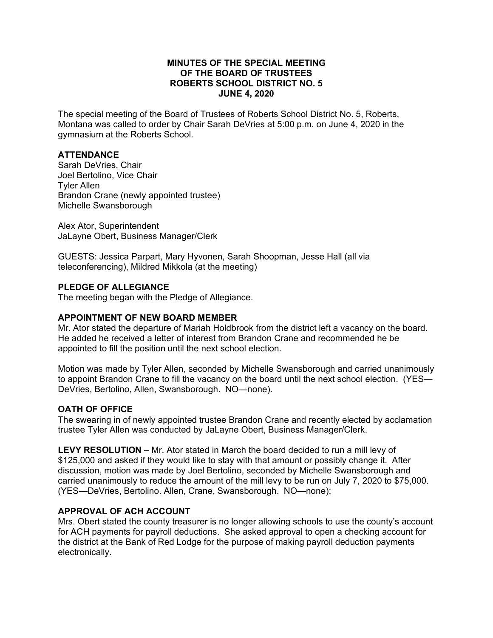## **MINUTES OF THE SPECIAL MEETING OF THE BOARD OF TRUSTEES ROBERTS SCHOOL DISTRICT NO. 5 JUNE 4, 2020**

The special meeting of the Board of Trustees of Roberts School District No. 5, Roberts, Montana was called to order by Chair Sarah DeVries at 5:00 p.m. on June 4, 2020 in the gymnasium at the Roberts School.

# **ATTENDANCE**

Sarah DeVries, Chair Joel Bertolino, Vice Chair Tyler Allen Brandon Crane (newly appointed trustee) Michelle Swansborough

Alex Ator, Superintendent JaLayne Obert, Business Manager/Clerk

GUESTS: Jessica Parpart, Mary Hyvonen, Sarah Shoopman, Jesse Hall (all via teleconferencing), Mildred Mikkola (at the meeting)

## **PLEDGE OF ALLEGIANCE**

The meeting began with the Pledge of Allegiance.

#### **APPOINTMENT OF NEW BOARD MEMBER**

Mr. Ator stated the departure of Mariah Holdbrook from the district left a vacancy on the board. He added he received a letter of interest from Brandon Crane and recommended he be appointed to fill the position until the next school election.

Motion was made by Tyler Allen, seconded by Michelle Swansborough and carried unanimously to appoint Brandon Crane to fill the vacancy on the board until the next school election. (YES— DeVries, Bertolino, Allen, Swansborough. NO—none).

#### **OATH OF OFFICE**

The swearing in of newly appointed trustee Brandon Crane and recently elected by acclamation trustee Tyler Allen was conducted by JaLayne Obert, Business Manager/Clerk.

**LEVY RESOLUTION –** Mr. Ator stated in March the board decided to run a mill levy of \$125,000 and asked if they would like to stay with that amount or possibly change it. After discussion, motion was made by Joel Bertolino, seconded by Michelle Swansborough and carried unanimously to reduce the amount of the mill levy to be run on July 7, 2020 to \$75,000. (YES—DeVries, Bertolino. Allen, Crane, Swansborough. NO—none);

#### **APPROVAL OF ACH ACCOUNT**

Mrs. Obert stated the county treasurer is no longer allowing schools to use the county's account for ACH payments for payroll deductions. She asked approval to open a checking account for the district at the Bank of Red Lodge for the purpose of making payroll deduction payments electronically.